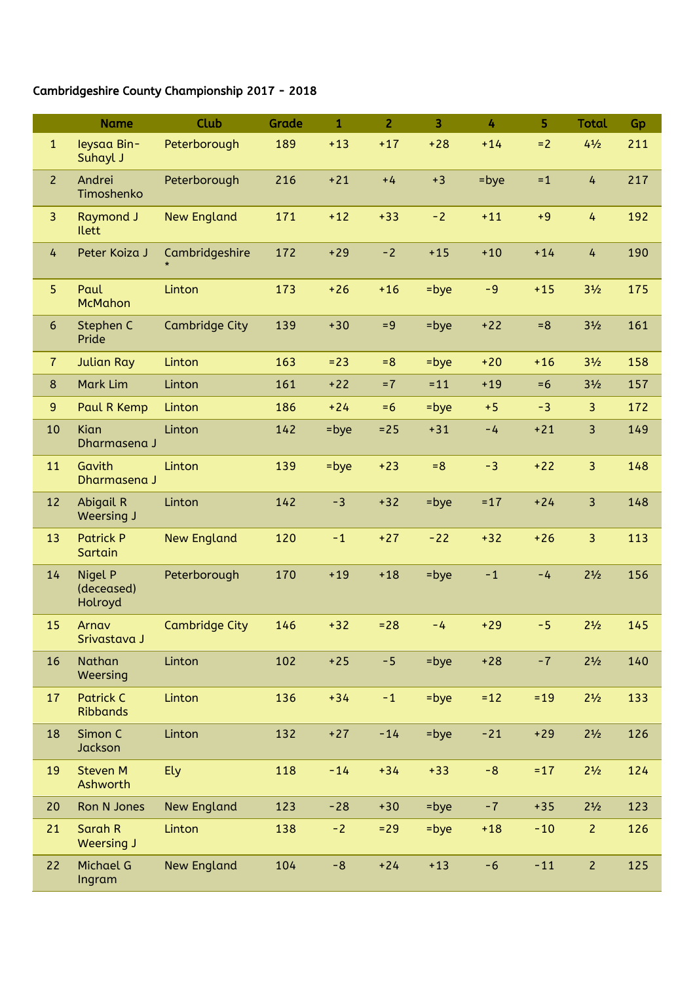## Cambridgeshire County Championship 2017 - 2018

|                | <b>Name</b>                         | Club                  | Grade | $\mathbf{1}$ | $\overline{2}$ | 3       | 4       | 5      | <b>Total</b>   | Gp  |
|----------------|-------------------------------------|-----------------------|-------|--------------|----------------|---------|---------|--------|----------------|-----|
| $\mathbf{1}$   | leysaa Bin-<br>Suhayl J             | Peterborough          | 189   | $+13$        | $+17$          | $+28$   | $+14$   | $= 2$  | $4\frac{1}{2}$ | 211 |
| $\overline{2}$ | Andrei<br>Timoshenko                | Peterborough          | 216   | $+21$        | $+4$           | $+3$    | $=$ bye | $=1$   | $\overline{4}$ | 217 |
| 3              | <b>Raymond J</b><br><b>Ilett</b>    | <b>New England</b>    | 171   | $+12$        | $+33$          | $-2$    | $+11$   | $+9$   | 4              | 192 |
| 4              | Peter Koiza J                       | Cambridgeshire        | 172   | $+29$        | $-2$           | $+15$   | $+10$   | $+14$  | $\overline{4}$ | 190 |
| 5              | Paul<br><b>McMahon</b>              | Linton                | 173   | $+26$        | $+16$          | =bye    | $-9$    | $+15$  | $3\frac{1}{2}$ | 175 |
| $6\,$          | Stephen C<br>Pride                  | <b>Cambridge City</b> | 139   | $+30$        | $= 9$          | =bye    | $+22$   | $= 8$  | $3\frac{1}{2}$ | 161 |
| $\overline{7}$ | <b>Julian Ray</b>                   | Linton                | 163   | $= 23$       | $= 8$          | $=$ bye | $+20$   | $+16$  | $3\frac{1}{2}$ | 158 |
| $\bf 8$        | Mark Lim                            | Linton                | 161   | $+22$        | $=7$           | $= 11$  | $+19$   | $=6$   | $3\frac{1}{2}$ | 157 |
| $\overline{9}$ | Paul R Kemp                         | Linton                | 186   | $+24$        | $=6$           | $=$ bye | $+5$    | $-3$   | 3              | 172 |
| 10             | Kian<br>Dharmasena J                | Linton                | 142   | =bye         | $= 25$         | $+31$   | $-4$    | $+21$  | 3              | 149 |
| 11             | Gavith<br>Dharmasena J              | Linton                | 139   | $=$ bye      | $+23$          | $= 8$   | $-3$    | $+22$  | $\overline{3}$ | 148 |
| 12             | <b>Abigail R</b><br>Weersing J      | Linton                | 142   | $-3$         | $+32$          | $=$ bye | $= 17$  | $+24$  | 3              | 148 |
| 13             | <b>Patrick P</b><br>Sartain         | <b>New England</b>    | 120   | $-1$         | $+27$          | $-22$   | $+32$   | $+26$  | 3              | 113 |
| 14             | Nigel P<br>(deceased)<br>Holroyd    | Peterborough          | 170   | $+19$        | $+18$          | =bye    | $-1$    | $-4$   | $2^{1/2}$      | 156 |
| 15             | Arnav<br>Srivastava J               | <b>Cambridge City</b> | 146   | $+32$        | $= 28$         | $-4$    | $+29$   | $-5$   | $2\frac{1}{2}$ | 145 |
| 16             | Nathan<br>Weersing                  | Linton                | 102   | $+25$        | $-5$           | $=$ bye | $+28$   | $-7$   | $2\frac{1}{2}$ | 140 |
| 17             | <b>Patrick C</b><br><b>Ribbands</b> | Linton                | 136   | $+34$        | $-1$           | $=$ bye | $=12$   | $=19$  | $2\frac{1}{2}$ | 133 |
| 18             | Simon C<br>Jackson                  | Linton                | 132   | $+27$        | $-14$          | $=$ bye | $-21$   | $+29$  | $2\frac{1}{2}$ | 126 |
| 19             | <b>Steven M</b><br>Ashworth         | Ely                   | 118   | $-14$        | $+34$          | $+33$   | $-8$    | $= 17$ | $2\frac{1}{2}$ | 124 |
| 20             | Ron N Jones                         | <b>New England</b>    | 123   | $-28$        | $+30$          | =bye    | $-7$    | $+35$  | $2^{1/2}$      | 123 |
| 21             | Sarah R<br>Weersing J               | Linton                | 138   | $-2$         | $=29$          | $=$ bye | $+18$   | $-10$  | $\overline{2}$ | 126 |
| 22             | <b>Michael G</b><br>Ingram          | <b>New England</b>    | 104   | $-8$         | $+24$          | $+13$   | $-6$    | $-11$  | $\overline{2}$ | 125 |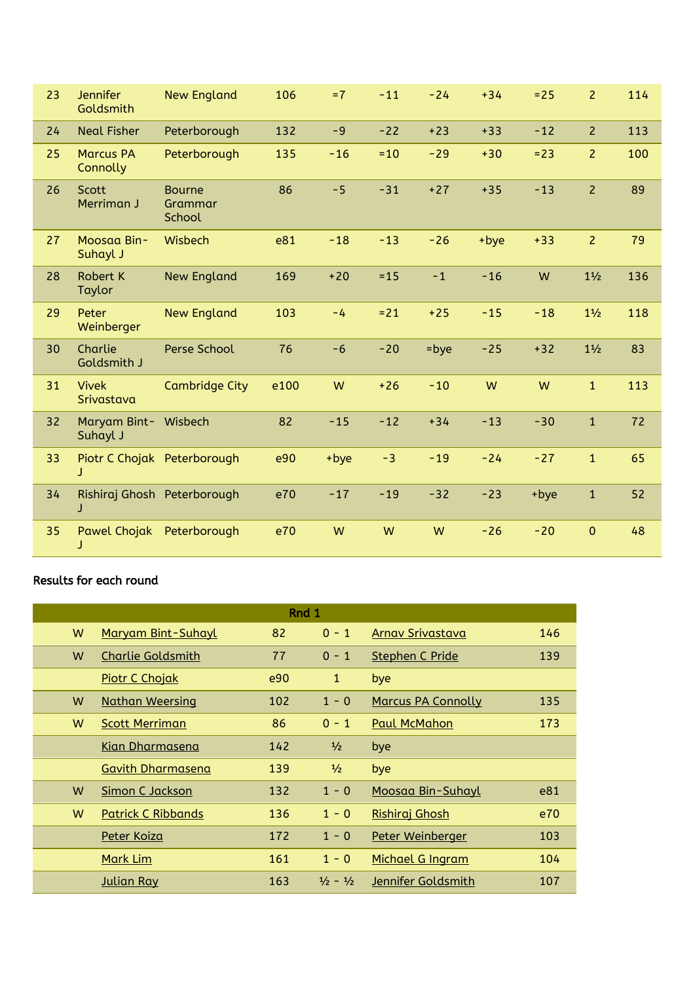| 23 | <b>Jennifer</b><br>Goldsmith     | <b>New England</b>                 | 106  | $=7$  | $-11$  | $-24$   | $+34$ | $= 25$ | $\overline{2}$ | 114 |
|----|----------------------------------|------------------------------------|------|-------|--------|---------|-------|--------|----------------|-----|
| 24 | <b>Neal Fisher</b>               | Peterborough                       | 132  | $-9$  | $-22$  | $+23$   | $+33$ | $-12$  | $\overline{2}$ | 113 |
| 25 | <b>Marcus PA</b><br>Connolly     | Peterborough                       | 135  | $-16$ | $=10$  | $-29$   | $+30$ | $= 23$ | $\overline{2}$ | 100 |
| 26 | <b>Scott</b><br>Merriman J       | <b>Bourne</b><br>Grammar<br>School | 86   | $-5$  | $-31$  | $+27$   | $+35$ | $-13$  | $\overline{2}$ | 89  |
| 27 | Moosaa Bin-<br>Suhayl J          | Wisbech                            | e81  | $-18$ | $-13$  | $-26$   | +bye  | $+33$  | $\overline{2}$ | 79  |
| 28 | <b>Robert K</b><br>Taylor        | <b>New England</b>                 | 169  | $+20$ | $= 15$ | $-1$    | $-16$ | W      | $1\frac{1}{2}$ | 136 |
| 29 | Peter<br>Weinberger              | <b>New England</b>                 | 103  | $-4$  | $= 21$ | $+25$   | $-15$ | $-18$  | $1\frac{1}{2}$ | 118 |
| 30 | Charlie<br>Goldsmith J           | Perse School                       | 76   | $-6$  | $-20$  | $=$ bye | $-25$ | $+32$  | $1\frac{1}{2}$ | 83  |
| 31 | <b>Vivek</b><br>Srivastava       | <b>Cambridge City</b>              | e100 | W     | $+26$  | $-10$   | W     | W      | $\mathbf{1}$   | 113 |
| 32 | Maryam Bint- Wisbech<br>Suhayl J |                                    | 82   | $-15$ | $-12$  | $+34$   | $-13$ | $-30$  | $\mathbf{1}$   | 72  |
| 33 | Piotr C Chojak Peterborough<br>J |                                    | e90  | +bye  | $-3$   | $-19$   | $-24$ | $-27$  | $\mathbf{1}$   | 65  |
| 34 | Rishiraj Ghosh Peterborough<br>J |                                    | e70  | $-17$ | $-19$  | $-32$   | $-23$ | +bye   | $\mathbf{1}$   | 52  |
| 35 | <b>Pawel Chojak</b><br>J         | Peterborough                       | e70  | W     | W      | W       | $-26$ | $-20$  | $\mathbf{0}$   | 48  |

## Results for each round

| Rnd 1 |                           |     |                             |                           |     |  |  |  |  |
|-------|---------------------------|-----|-----------------------------|---------------------------|-----|--|--|--|--|
| W     | Maryam Bint-Suhayl        | 82  | $0 - 1$                     | Arnav Srivastava          | 146 |  |  |  |  |
| W     | <b>Charlie Goldsmith</b>  | 77  | $0 - 1$                     | <b>Stephen C Pride</b>    | 139 |  |  |  |  |
|       | <b>Piotr C Chojak</b>     | e90 | $\mathbf{1}$                | bye                       |     |  |  |  |  |
| W     | <b>Nathan Weersing</b>    | 102 | $1 - 0$                     | <b>Marcus PA Connolly</b> | 135 |  |  |  |  |
| W     | <b>Scott Merriman</b>     | 86  | $0 - 1$                     | <b>Paul McMahon</b>       | 173 |  |  |  |  |
|       | <b>Kian Dharmasena</b>    | 142 | $\frac{1}{2}$               | bye                       |     |  |  |  |  |
|       | <b>Gavith Dharmasena</b>  | 139 | $\frac{1}{2}$               | bye                       |     |  |  |  |  |
| W     | Simon C Jackson           | 132 | $1 - 0$                     | Moosaa Bin-Suhayl         | e81 |  |  |  |  |
| W     | <b>Patrick C Ribbands</b> | 136 | $1 - 0$                     | Rishiraj Ghosh            | e70 |  |  |  |  |
|       | Peter Koiza               | 172 | $1 - 0$                     | Peter Weinberger          | 103 |  |  |  |  |
|       | <u>Mark Lim</u>           | 161 | $1 - 0$                     | Michael G Ingram          | 104 |  |  |  |  |
|       | <b>Julian Ray</b>         | 163 | $\frac{1}{2} - \frac{1}{2}$ | Jennifer Goldsmith        | 107 |  |  |  |  |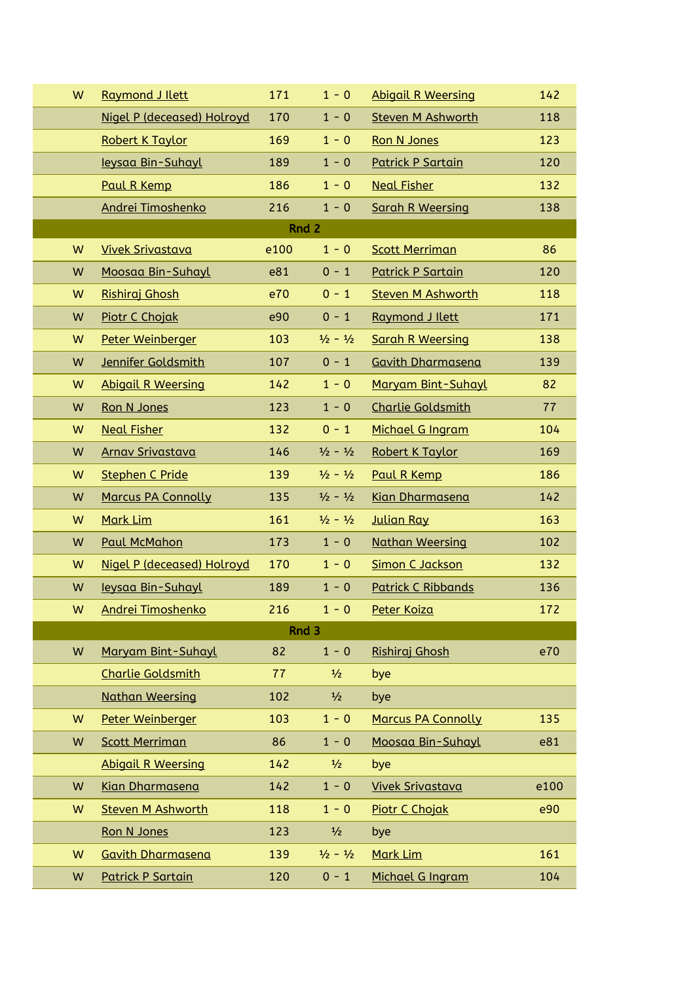| W | <b>Raymond J Ilett</b>     | 171  | $1 - 0$                     | <b>Abigail R Weersing</b> | 142  |
|---|----------------------------|------|-----------------------------|---------------------------|------|
|   | Nigel P (deceased) Holroyd | 170  | $1 - 0$                     | <b>Steven M Ashworth</b>  | 118  |
|   | Robert K Taylor            | 169  | $1 - 0$                     | <b>Ron N Jones</b>        | 123  |
|   | leysaa Bin-Suhayl          | 189  | $1 - 0$                     | <b>Patrick P Sartain</b>  | 120  |
|   | Paul R Kemp                | 186  | $1 - 0$                     | <b>Neal Fisher</b>        | 132  |
|   | Andrei Timoshenko          | 216  | $1 - 0$                     | <b>Sarah R Weersing</b>   | 138  |
|   |                            |      | Rnd 2                       |                           |      |
| W | <b>Vivek Srivastava</b>    | e100 | $1 - 0$                     | <b>Scott Merriman</b>     | 86   |
| W | Moosaa Bin-Suhayl          | e81  | $0 - 1$                     | <b>Patrick P Sartain</b>  | 120  |
| W | Rishiraj Ghosh             | e70  | $0 - 1$                     | <b>Steven M Ashworth</b>  | 118  |
| W | <b>Piotr C Chojak</b>      | e90  | $0 - 1$                     | Raymond J Ilett           | 171  |
| W | Peter Weinberger           | 103  | $\frac{1}{2} - \frac{1}{2}$ | <b>Sarah R Weersing</b>   | 138  |
| W | Jennifer Goldsmith         | 107  | $0 - 1$                     | <b>Gavith Dharmasena</b>  | 139  |
| W | <b>Abigail R Weersing</b>  | 142  | $1 - 0$                     | <b>Maryam Bint-Suhayl</b> | 82   |
| W | Ron N Jones                | 123  | $1 - 0$                     | <b>Charlie Goldsmith</b>  | 77   |
| W | <b>Neal Fisher</b>         | 132  | $0 - 1$                     | Michael G Ingram          | 104  |
| W | <b>Arnav Srivastava</b>    | 146  | $\frac{1}{2} - \frac{1}{2}$ | Robert K Taylor           | 169  |
| W | <b>Stephen C Pride</b>     | 139  | $\frac{1}{2} - \frac{1}{2}$ | Paul R Kemp               | 186  |
| W | <b>Marcus PA Connolly</b>  | 135  | $\frac{1}{2} - \frac{1}{2}$ | <b>Kian Dharmasena</b>    | 142  |
| W | <b>Mark Lim</b>            | 161  | $\frac{1}{2} - \frac{1}{2}$ | <b>Julian Ray</b>         | 163  |
| W | <b>Paul McMahon</b>        | 173  | $1 - 0$                     | <b>Nathan Weersing</b>    | 102  |
| W | Nigel P (deceased) Holroyd | 170  | $1 - 0$                     | <b>Simon C Jackson</b>    | 132  |
| W | leysaa Bin-Suhayl          | 189  | $1 - 0$                     | <b>Patrick C Ribbands</b> | 136  |
| W | Andrei Timoshenko          | 216  | 1 - 0                       | <u>Peter Koiza</u>        | 172  |
|   |                            |      | Rnd 3                       |                           |      |
| W | Maryam Bint-Suhayl         | 82   | $1 - 0$                     | Rishiraj Ghosh            | e70  |
|   | <b>Charlie Goldsmith</b>   | 77   | $\frac{1}{2}$               | bye                       |      |
|   | <b>Nathan Weersing</b>     | 102  | $\frac{1}{2}$               | bye                       |      |
| W | Peter Weinberger           | 103  | $1 - 0$                     | <b>Marcus PA Connolly</b> | 135  |
| W | <b>Scott Merriman</b>      | 86   | $1 - 0$                     | Moosaa Bin-Suhayl         | e81  |
|   | <b>Abigail R Weersing</b>  | 142  | $\frac{1}{2}$               | bye                       |      |
| W | Kian Dharmasena            | 142  | $1 - 0$                     | <b>Vivek Srivastava</b>   | e100 |
| W | <b>Steven M Ashworth</b>   | 118  | $1 - 0$                     | Piotr C Chojak            | e90  |
|   | Ron N Jones                | 123  | $\frac{1}{2}$               | bye                       |      |
| W | <b>Gavith Dharmasena</b>   | 139  | $\frac{1}{2} - \frac{1}{2}$ | Mark Lim                  | 161  |
| W | <b>Patrick P Sartain</b>   | 120  | $0 - 1$                     | Michael G Ingram          | 104  |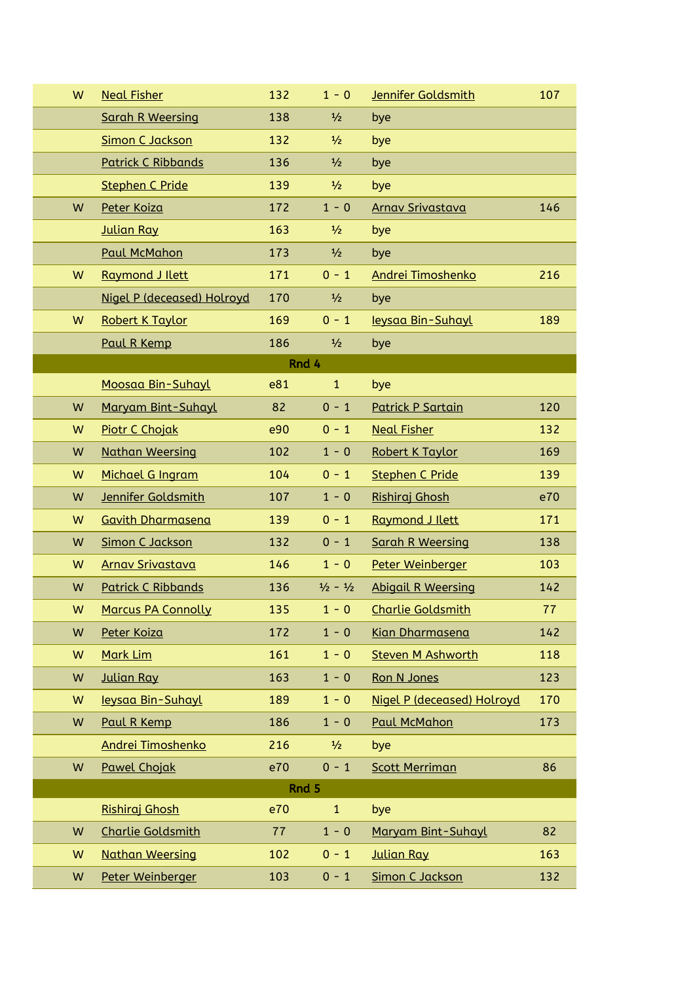| W | <b>Neal Fisher</b>         | 132 | $1 - 0$                     | Jennifer Goldsmith         | 107 |
|---|----------------------------|-----|-----------------------------|----------------------------|-----|
|   | <b>Sarah R Weersing</b>    | 138 | $\frac{1}{2}$               | bye                        |     |
|   | <b>Simon C Jackson</b>     | 132 | $\frac{1}{2}$               | bye                        |     |
|   | <b>Patrick C Ribbands</b>  | 136 | $\frac{1}{2}$               | bye                        |     |
|   | <b>Stephen C Pride</b>     | 139 | $\frac{1}{2}$               | bye                        |     |
| W | Peter Koiza                | 172 | $1 - 0$                     | <b>Arnav Srivastava</b>    | 146 |
|   | Julian Ray                 | 163 | $\frac{1}{2}$               | bye                        |     |
|   | <b>Paul McMahon</b>        | 173 | $\frac{1}{2}$               | bye                        |     |
| W | Raymond J Ilett            | 171 | $0 - 1$                     | Andrei Timoshenko          | 216 |
|   | Nigel P (deceased) Holroyd | 170 | $\frac{1}{2}$               | bye                        |     |
| W | <b>Robert K Taylor</b>     | 169 | $0 - 1$                     | leysaa Bin-Suhayl          | 189 |
|   | Paul R Kemp                | 186 | $\frac{1}{2}$               | bye                        |     |
|   |                            |     | Rnd 4                       |                            |     |
|   | Moosaa Bin-Suhayl          | e81 | $\mathbf{1}$                | bye                        |     |
| W | Maryam Bint-Suhayl         | 82  | $0 - 1$                     | <b>Patrick P Sartain</b>   | 120 |
| W | Piotr C Chojak             | e90 | $0 - 1$                     | <b>Neal Fisher</b>         | 132 |
| W | <b>Nathan Weersing</b>     | 102 | $1 - 0$                     | Robert K Taylor            | 169 |
| W | Michael G Ingram           | 104 | $0 - 1$                     | <b>Stephen C Pride</b>     | 139 |
| W | Jennifer Goldsmith         | 107 | $1 - 0$                     | Rishiraj Ghosh             | e70 |
| W | <b>Gavith Dharmasena</b>   | 139 | $0 - 1$                     | Raymond J Ilett            | 171 |
| W | <b>Simon C Jackson</b>     | 132 | $0 - 1$                     | <b>Sarah R Weersing</b>    | 138 |
| W | <b>Arnav Srivastava</b>    | 146 | $1 - 0$                     | Peter Weinberger           | 103 |
| W | <b>Patrick C Ribbands</b>  | 136 | $\frac{1}{2} - \frac{1}{2}$ | <b>Abigail R Weersing</b>  | 142 |
| W | <b>Marcus PA Connolly</b>  | 135 | $1 - 0$                     | <b>Charlie Goldsmith</b>   | 77  |
| W | Peter Koiza                | 172 | $1 - 0$                     | <b>Kian Dharmasena</b>     | 142 |
| W | Mark Lim                   | 161 | $1 - 0$                     | <b>Steven M Ashworth</b>   | 118 |
| W | <b>Julian Ray</b>          | 163 | $1 - 0$                     | Ron N Jones                | 123 |
| W | leysaa Bin-Suhayl          | 189 | $1 - 0$                     | Nigel P (deceased) Holroyd | 170 |
| W | Paul R Kemp                | 186 | $1 - 0$                     | <b>Paul McMahon</b>        | 173 |
|   | Andrei Timoshenko          | 216 | $\frac{1}{2}$               | bye                        |     |
| W | <b>Pawel Chojak</b>        | e70 | $0 - 1$                     | <b>Scott Merriman</b>      | 86  |
|   |                            |     | Rnd 5                       |                            |     |
|   | Rishiraj Ghosh             | e70 | $\mathbf{1}$                | bye                        |     |
| W | <b>Charlie Goldsmith</b>   | 77  | $1 - 0$                     | Maryam Bint-Suhayl         | 82  |
| W | <b>Nathan Weersing</b>     | 102 | $0 - 1$                     | <b>Julian Ray</b>          | 163 |
| W | Peter Weinberger           | 103 | $0 - 1$                     | <b>Simon C Jackson</b>     | 132 |